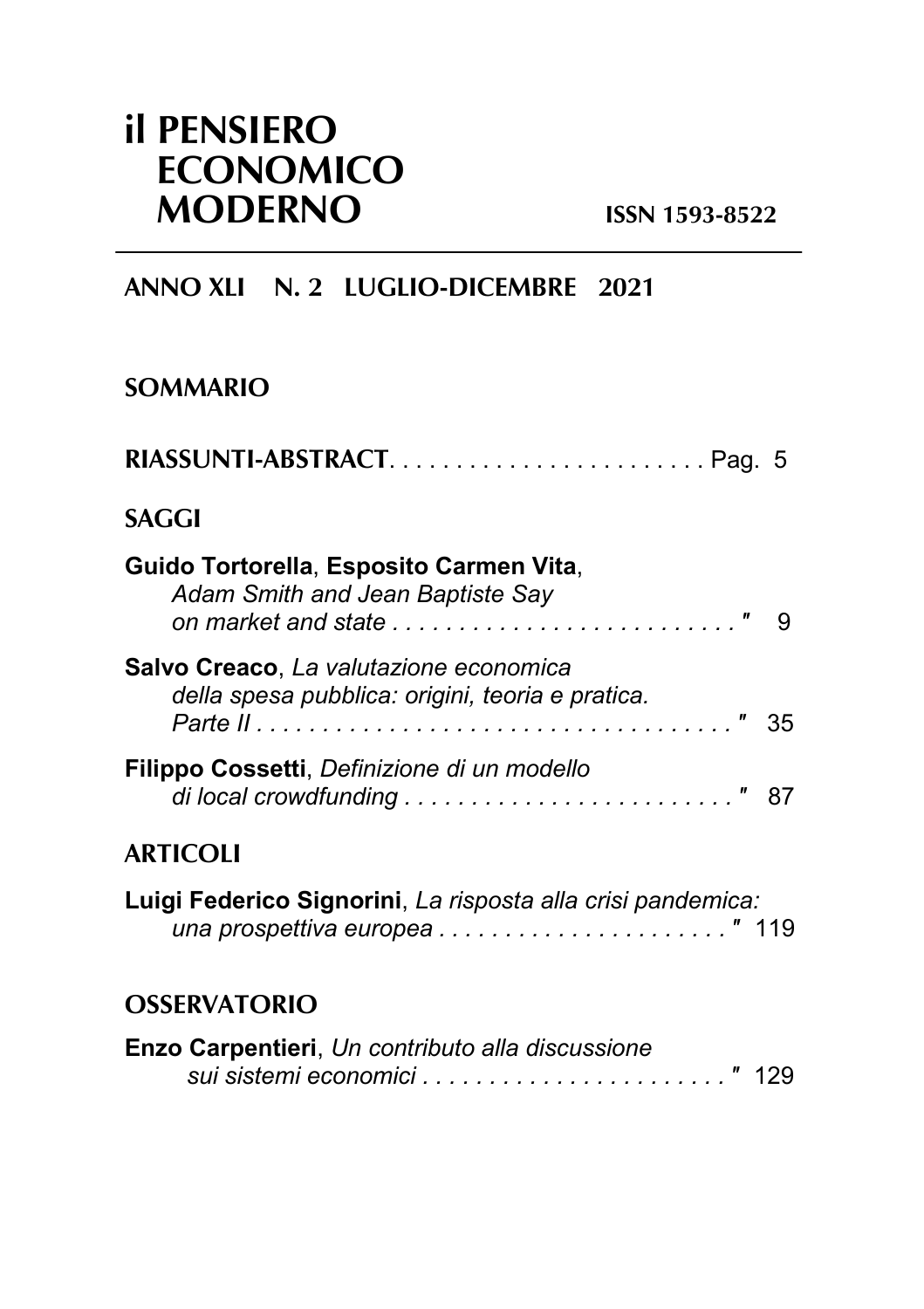# **il PENSIERO ECONOMICO MODERNO ISSN 1593-8522**

# **ANNO XLI N. 2 LUGLIO-DICEMBRE 2021**

## **SOMMARIO**

| RIASSUNTI-ABSTRACTPag. 5                                                                   |
|--------------------------------------------------------------------------------------------|
| <b>SAGGI</b>                                                                               |
| Guido Tortorella, Esposito Carmen Vita,<br>Adam Smith and Jean Baptiste Say                |
| Salvo Creaco, La valutazione economica<br>della spesa pubblica: origini, teoria e pratica. |
| Filippo Cossetti, Definizione di un modello                                                |
| <b>ARTICOLI</b>                                                                            |
| Luigi Federico Signorini, La risposta alla crisi pandemica:                                |
| <b>OSSERVATORIO</b>                                                                        |
| Enzo Carpentieri, Un contributo alla discussione                                           |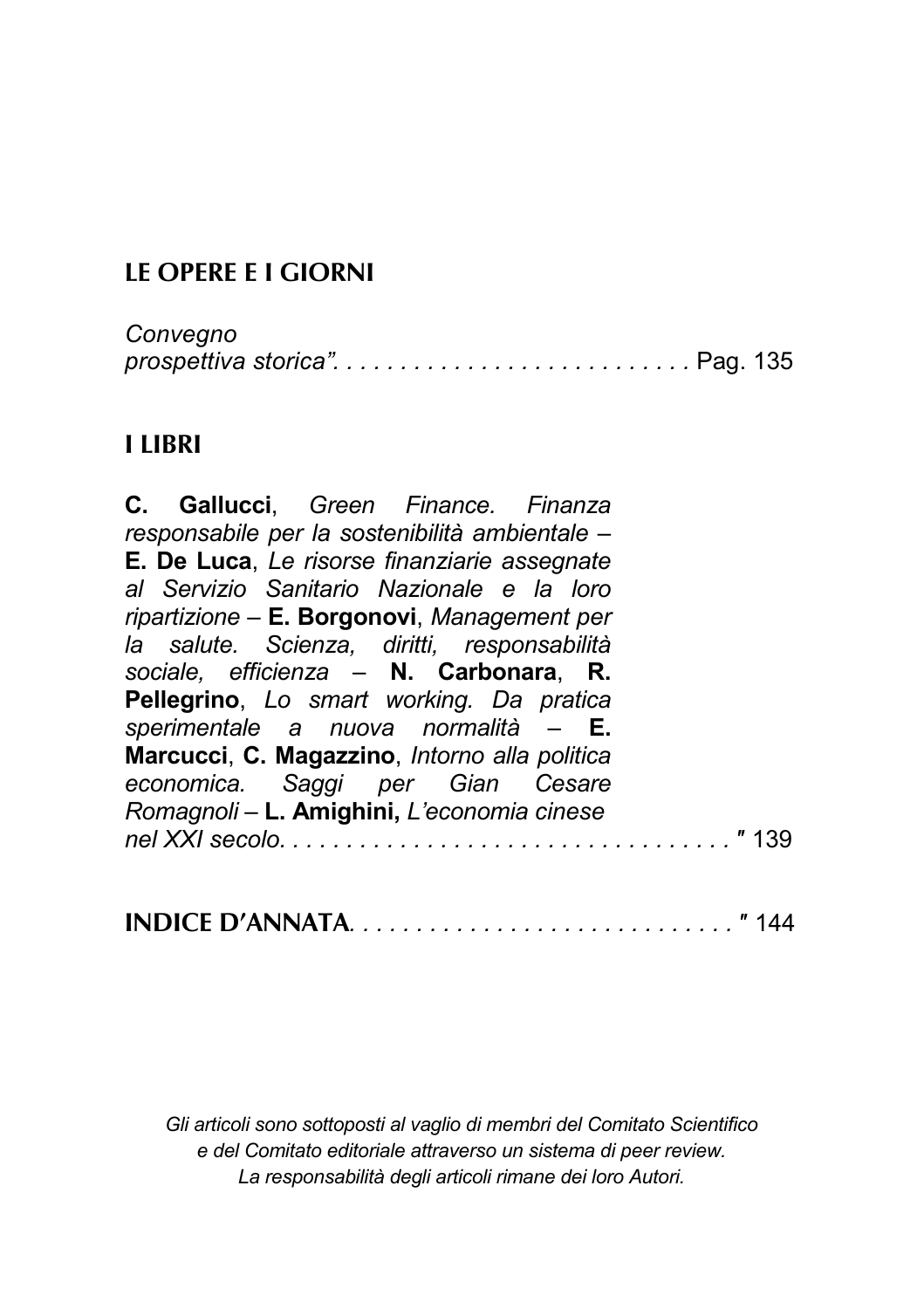# **LE OPERE E I GIORNI**

| Convegno |  |  |
|----------|--|--|
|          |  |  |

### **I LIBRI**

| C. Gallucci, Green Finance. Finanza            |  |      |
|------------------------------------------------|--|------|
| responsabile per la sostenibilità ambientale - |  |      |
| E. De Luca, Le risorse finanziarie assegnate   |  |      |
| al Servizio Sanitario Nazionale e la loro      |  |      |
| ripartizione - E. Borgonovi, Management per    |  |      |
| la salute. Scienza, diritti, responsabilità    |  |      |
| sociale, efficienza - N. Carbonara, R.         |  |      |
| Pellegrino, Lo smart working. Da pratica       |  |      |
| sperimentale a nuova normalità - E.            |  |      |
| Marcucci, C. Magazzino, Intorno alla politica  |  |      |
| economica. Saggi per Gian Cesare               |  |      |
| Romagnoli - L. Amighini, L'economia cinese     |  |      |
|                                                |  | "139 |

| INDICE D'ANNATA | " 144 |  |  |  |  |
|-----------------|-------|--|--|--|--|
|-----------------|-------|--|--|--|--|

*Gli articoli sono sottoposti al vaglio di membri del Comitato Scientifico e del Comitato editoriale attraverso un sistema di peer review. La responsabilità degli articoli rimane dei loro Autori.*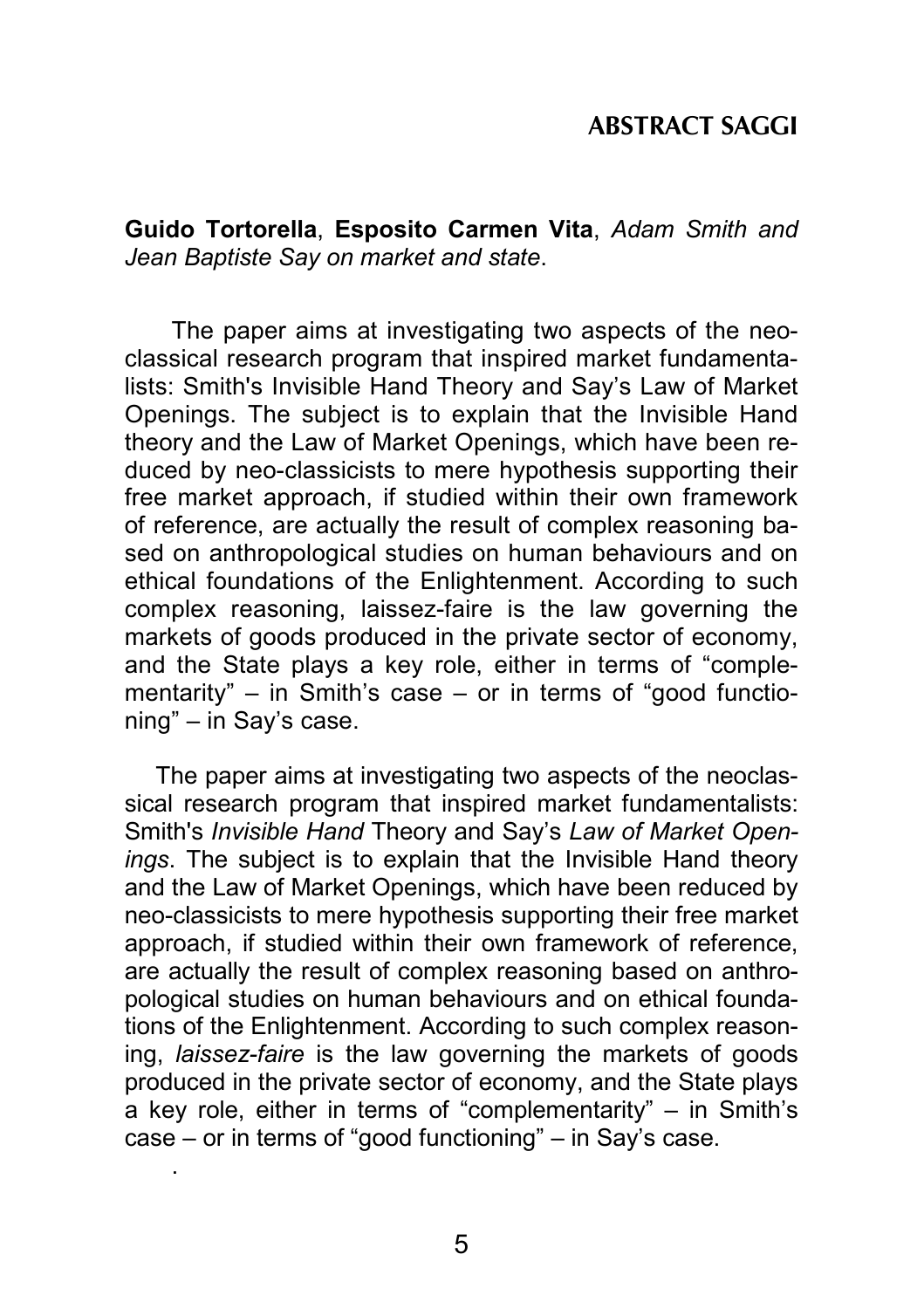### **ABSTRACT SAGGI**

**Guido Tortorella**, **Esposito Carmen Vita**, *Adam Smith and Jean Baptiste Say on market and state*.

The paper aims at investigating two aspects of the neoclassical research program that inspired market fundamentalists: Smith's Invisible Hand Theory and Say's Law of Market Openings. The subject is to explain that the Invisible Hand theory and the Law of Market Openings, which have been reduced by neo-classicists to mere hypothesis supporting their free market approach, if studied within their own framework of reference, are actually the result of complex reasoning based on anthropological studies on human behaviours and on ethical foundations of the Enlightenment. According to such complex reasoning, laissez-faire is the law governing the markets of goods produced in the private sector of economy, and the State plays a key role, either in terms of "complementarity" – in Smith's case – or in terms of "good functioning" – in Say's case.

The paper aims at investigating two aspects of the neoclassical research program that inspired market fundamentalists: Smith's *Invisible Hand* Theory and Say's *Law of Market Openings*. The subject is to explain that the Invisible Hand theory and the Law of Market Openings, which have been reduced by neo-classicists to mere hypothesis supporting their free market approach, if studied within their own framework of reference, are actually the result of complex reasoning based on anthropological studies on human behaviours and on ethical foundations of the Enlightenment. According to such complex reasoning, *laissez-faire* is the law governing the markets of goods produced in the private sector of economy, and the State plays a key role, either in terms of "complementarity" – in Smith's case – or in terms of "good functioning" – in Say's case.

.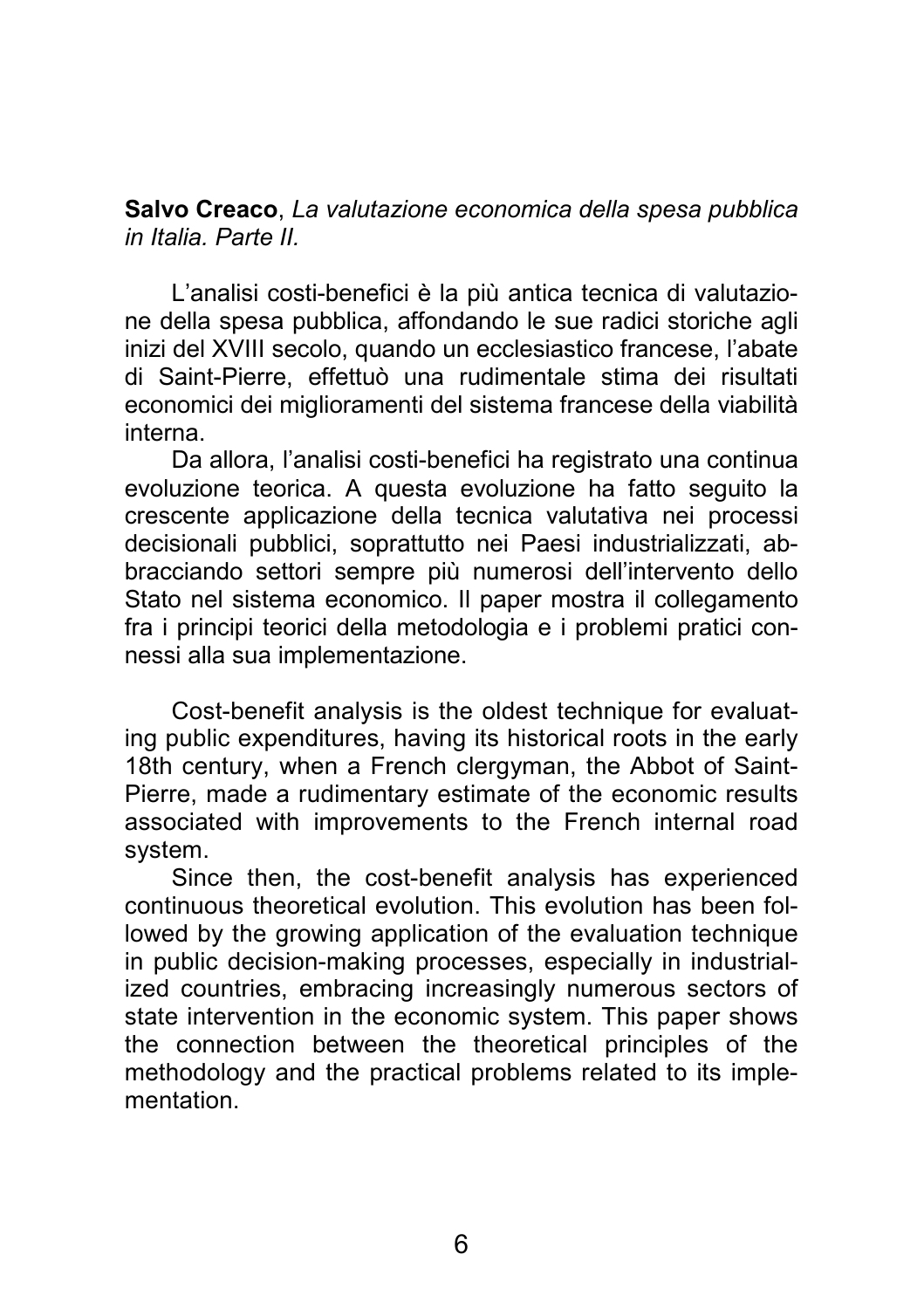**Salvo Creaco**, *La valutazione economica della spesa pubblica in Italia. Parte II.* 

L'analisi costi-benefici è la più antica tecnica di valutazione della spesa pubblica, affondando le sue radici storiche agli inizi del XVIII secolo, quando un ecclesiastico francese, l'abate di Saint-Pierre, effettuò una rudimentale stima dei risultati economici dei miglioramenti del sistema francese della viabilità interna.

Da allora, l'analisi costi-benefici ha registrato una continua evoluzione teorica. A questa evoluzione ha fatto seguito la crescente applicazione della tecnica valutativa nei processi decisionali pubblici, soprattutto nei Paesi industrializzati, abbracciando settori sempre più numerosi dell'intervento dello Stato nel sistema economico. Il paper mostra il collegamento fra i principi teorici della metodologia e i problemi pratici connessi alla sua implementazione.

Cost-benefit analysis is the oldest technique for evaluating public expenditures, having its historical roots in the early 18th century, when a French clergyman, the Abbot of Saint-Pierre, made a rudimentary estimate of the economic results associated with improvements to the French internal road system.

Since then, the cost-benefit analysis has experienced continuous theoretical evolution. This evolution has been followed by the growing application of the evaluation technique in public decision-making processes, especially in industrialized countries, embracing increasingly numerous sectors of state intervention in the economic system. This paper shows the connection between the theoretical principles of the methodology and the practical problems related to its implementation.